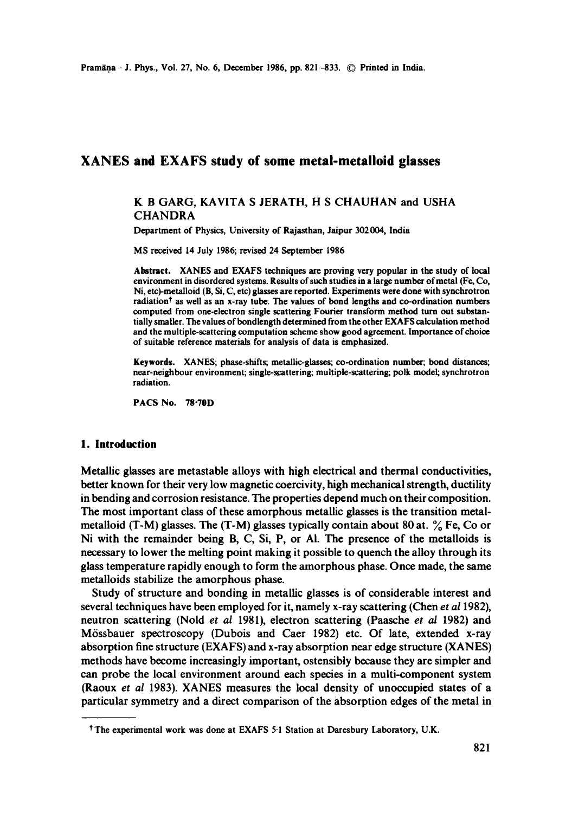# **XANES and EXAFS study of some metal-metalloid glasses**

## K B GARG, KAVITA S JERATH, H S CHAUHAN and USHA **CHANDRA**

Department of Physics, University of Rajasthan, Jaipur 302004, India

MS received 14 July 1986; revised 24 September 1986

Abstract. XANES and EXAFS techniques are proving very popular in the study of local environment in disordered systems. Results of such studies in a large number of metal (Fe, Co, Ni, etc)-metalloid (B, Si, C, etc) glasses are reported. Experiments were done with synchrotron radiation<sup>†</sup> as well as an x-ray tube. The values of bond lengths and co-ordination numbers computed from one-electron single scattering Fourier transform method turn out substantially smaller. The values of bondlength determined from the other EXAFS calculation method and the multiple-scattering computation scheme show good agreement. Importance of choice of suitable reference materials for analysis of data is emphasized.

**Keywords.** XANES; phase-shifts; metallic-glasses; co-ordination number; bond distances; near-neighbour environment; single-scattering; multiple-scattering; polk model; synchrotron radiation.

PACS No. 7g'70D

#### **1. Introduction**

Metallic glasses are metastable alloys with high electrical and thermal conductivities, better known for their very low magnetic coercivity, high mechanical strength, ductility in bending and corrosion resistance. The properties depend much on their composition. The most important class of these amorphous metallic glasses is the transition metalmetalloid (T-M) glasses. The  $(T-M)$  glasses typically contain about 80 at.  $\%$  Fe, Co or Ni with the remainder being B, C, Si, P, or Ai. The presence of the metalloids is necessary to lower the melting point making it possible to quench the alloy through its glass temperature rapidly enough to form the amorphous phase. Once made, the same metalloids stabilize the amorphous phase.

Study of structure and bonding in metallic glasses is of considerable interest and several techniques have been employed for it, namely x-ray scattering (Chen *et a11982),*  neutron scattering (Nold *et al* 1981), electron scattering (Paasche *et al* 1982) and M6ssbauer spectroscopy (Dubois and Caer 1982) etc. Of late, extended x-ray absorption fine structure (EXAFS) and x-ray absorption near edge structure (XANES) methods have become increasingly important, ostensibly because they are simpler and can probe the local environment around each species in a multi-component system (Raoux *et al* 1983). XANES measures the local density of unoccupied states of a particular symmetry and a direct comparison of the absorption edges of the metal in

<sup>?</sup> The experimental work was done at EXAFS 5.1 Station at Daresbury Laboratory, U.K.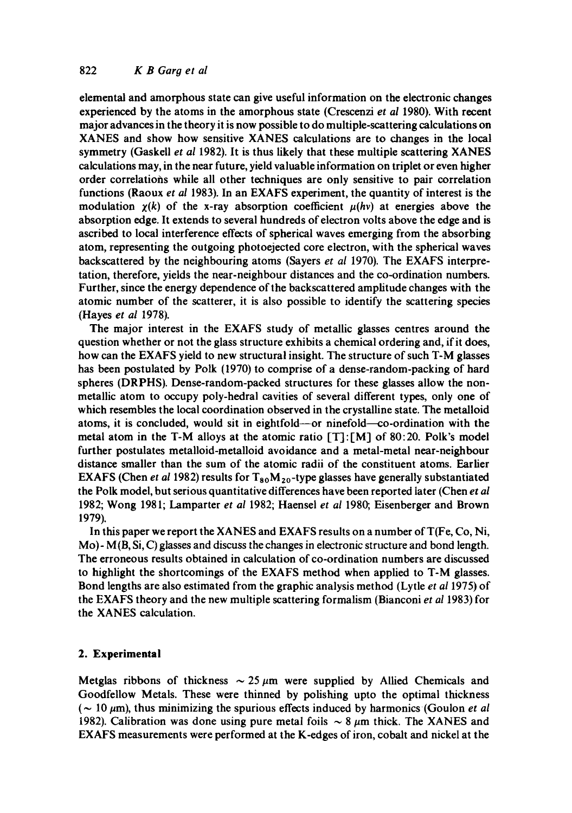elemental and amorphous state can give useful information on the electronic changes experienced by the atoms in the amorphous state (Crescenzi *et al* 1980). With recent major advances in the theory it is now possible to do multiple-scattering calculations on XANES and show how sensitive XANES calculations are to changes in the local symmetry (Gaskell *et al* 1982). It is thus likely that these multiple scattering XANES calculations may, in the near future, yield valuable information on triplet or even higher order correlations while all other techniques are only sensitive to pair correlation functions (Raoux *et al* 1983). In an EXAFS experiment, the quantity of interest is the modulation  $\chi(k)$  of the x-ray absorption coefficient  $\mu(hv)$  at energies above the absorption edge. It extends to several hundreds of electron volts above the edge and is ascribed to local interference effects of spherical waves emerging from the absorbing atom, representing the outgoing photoejected core electron, with the spherical waves backscattered by the neighbouring atoms (Sayers *et al* 1970). The EXAFS interpretation, therefore, yields the near-neighbour distances and the co-ordination numbers. Further, since the energy dependence of the backscattered amplitude changes with the atomic number of the scatterer, it is also possible to identify the scattering species (Hayes *et al* 1978).

The major interest in the EXAFS study of metallic glasses centres around the question whether or not the glass structure exhibits a chemical ordering and, if it does, how can the EXAFS yield to new structural insight. The structure of such T-M glasses has been postulated by Polk (1970) to comprise of a dense-random-packing of hard spheres (DRPHS). Dense-random-packed structures for these glasses allow the nonmetallic atom to occupy poly-hedral cavities of several different types, only one of which resembles the local coordination observed in the crystalline state. The metalloid atoms, it is concluded, would sit in eightfold---or ninefold--co-ordination with the metal atom in the T-M alloys at the atomic ratio [T]:[M] of 80:20. Polk's model further postulates metalloid-metalloid avoidance and a metal-metal near-neighbour distance smaller than the sum of the atomic radii of the constituent atoms. Earlier EXAFS (Chen *et al* 1982) results for  $T_{80}M_{20}$ -type glasses have generally substantiated the Polk model, but serious quantitative differences have been reported later (Chen *et al*  1982; Wong 1981; Lamparter *et al* 1982; Haensel *et al* 1980; Eisenberger and Brown 1979).

In this paper we report the XANES and EXAFS results on a number of T(Fe, Co, Ni, Mo)- M(B, Si, C) glasses and discuss the changes in electronic structure and bond length. The erroneous results obtained in calculation of co-ordination numbers are discussed to highlight the shortcomings of the EXAFS method when applied to T-M glasses. Bond lengths are also estimated from the graphic analysis method (Lytle *et al* 1975) of the EXAFS theory and the new multiple scattering formalism (Bianconi *et al* 1983) for the XANES calculation.

### **2. Experimental**

Metglas ribbons of thickness  $\sim$  25  $\mu$ m were supplied by Allied Chemicals and Goodfellow Metals. These were thinned by polishing upto the optimal thickness  $({\sim 10 \mu m})$ , thus minimizing the spurious effects induced by harmonics (Goulon *et al*) 1982). Calibration was done using pure metal foils  $\sim 8~\mu$ m thick. The XANES and EXAFS measurements were performed at the K-edges of iron, cobalt and nickel at the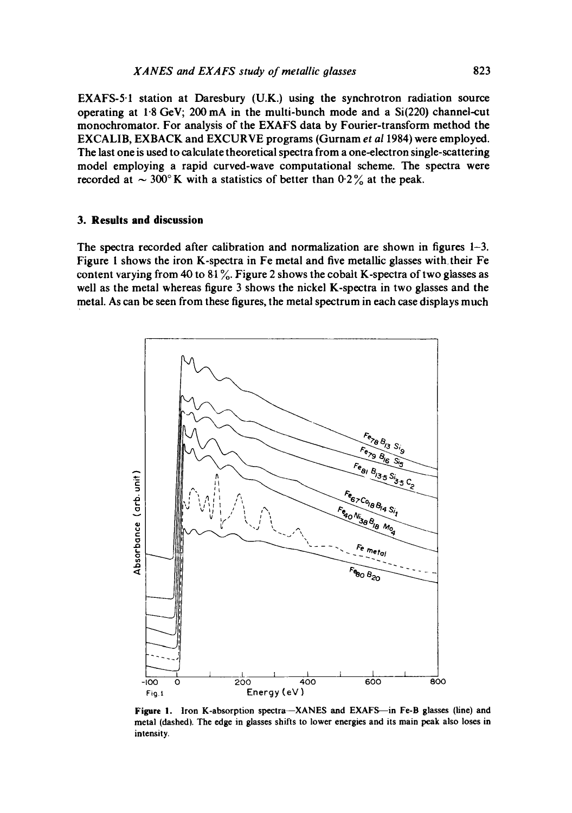EXAFS-5.1 station at Daresbury (U.K.) using the synchrotron radiation source operating at  $1.8$  GeV; 200 mA in the multi-bunch mode and a  $Si(220)$  channel-cut monochromator. For analysis of the EXAFS data by Fourier-transform method the EXCALIB, EXBACK and EXCURVE programs (Gurnam et al 1984) were employed. The last one is used to calculate theoretical spectra from a one-electron single-scattering model employing a rapid curved-wave computational scheme. The spectra were recorded at  $\sim 300^{\circ}$  K with a statistics of better than 0.2% at the peak.

#### 3. Results and discussion

The spectra recorded after calibration and normalization are shown in figures  $1-3$ . Figure 1 shows the iron K-spectra in Fe metal and five metallic glasses with their Fe content varying from 40 to 81%. Figure 2 shows the cobalt K-spectra of two glasses as well as the metal whereas figure 3 shows the nickel K-spectra in two glasses and the metal. As can be seen from these figures, the metal spectrum in each case displays much



Figure 1. Iron K-absorption spectra-XANES and EXAFS-in Fe-B glasses (line) and metal (dashed). The edge in glasses shifts to lower energies and its main peak also loses in intensity.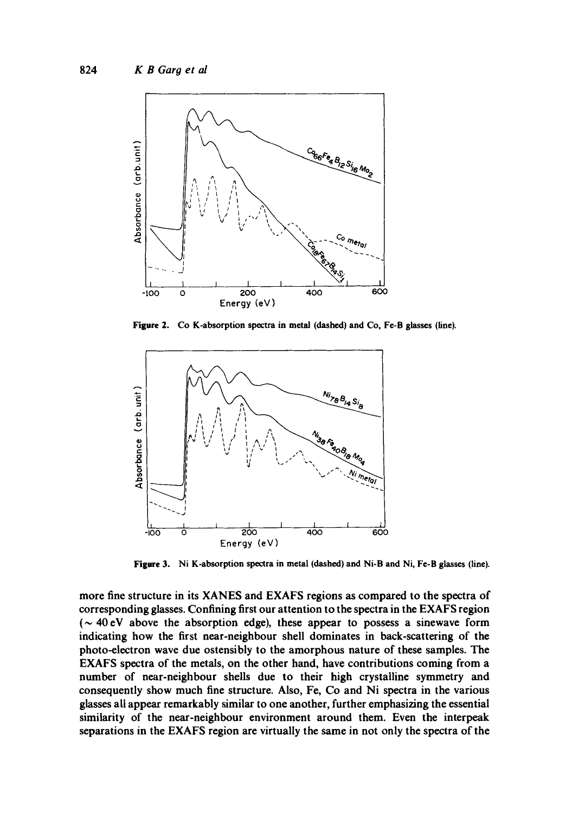

Figure 2. Co K-absorption spectra in metal (dashed) and Co, Fe-B glasses (line).



Figure 3. Ni K-absorption spectra in metal (dashed) and Ni-B and Ni, Fe-B glasses (line).

more fine structure in its XANES and EXAFS regions as compared to the spectra of corresponding glasses. Confining first our attention to the spectra in the EXAFS region ( $\sim$  40 eV above the absorption edge), these appear to possess a sinewave form indicating how the first near-neighbour shell dominates in back-scattering of the photo-electron wave due ostensibly to the amorphous nature of these samples. The EXAFS spectra of the metals, on the other hand, have contributions coming from a number of near-neighbour shells due to their high crystalline symmetry and consequently show much fine structure. Also, Fe, Co and Ni spectra in the various glasses all appear remarkably similar to one another, further emphasizing the essential similarity of the near-neighbour environment around them. Even the interpeak separations in the EXAFS region are virtually the same in not only the spectra of the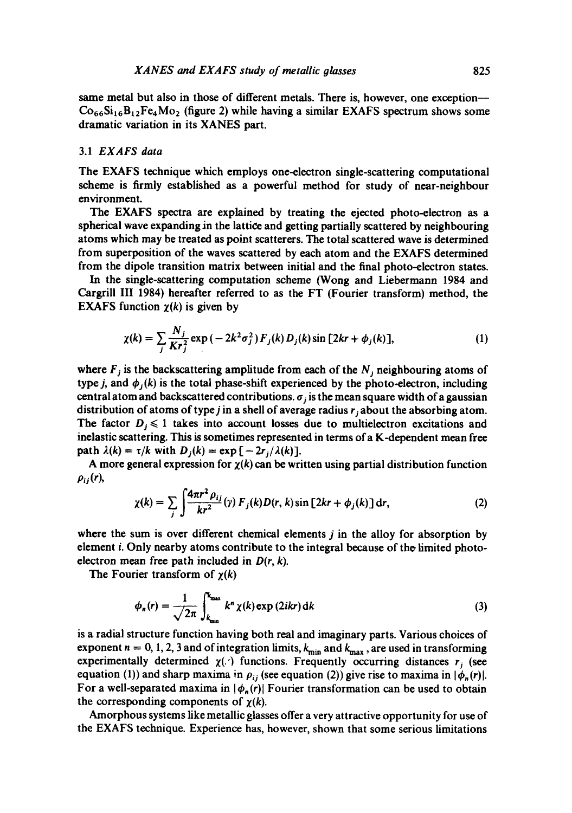same metal but also in those of different metals. There is, however, one exception-- $Co_{66}Si_{16}B_{12}Fe_4Mo_2$  (figure 2) while having a similar EXAFS spectrum shows some dramatic variation in its XANES part.

#### 3.1 *EXAFS data*

The EXAFS technique which employs one-electron single-scattering computational scheme is firmly established as a powerful method for study of near-neighbour environment.

The EXAFS spectra are explained by treating the ejected photo-electron as a spherical wave expanding in the lattice and getting partially scattered by neighbouring atoms which may be treated as point scatterers. The total scattered wave is determined from superposition of the waves scattered by each atom and the EXAFS determined from the dipole transition matrix between initial and the final photo-electron states.

In the single-scattering computation scheme (Wong and Liebermann 1984 and Cargrill III 1984) hereafter referred to as the FT (Fourier transform) method, the EXAFS function  $\chi(k)$  is given by

$$
\chi(k) = \sum_{j} \frac{N_j}{Kr_j^2} \exp(-2k^2 \sigma_j^2) F_j(k) D_j(k) \sin[2kr + \phi_j(k)], \qquad (1)
$$

where  $F_j$  is the backscattering amplitude from each of the  $N_j$  neighbouring atoms of type *j*, and  $\phi_i(k)$  is the total phase-shift experienced by the photo-electron, including central atom and backscattered contributions,  $\sigma_i$  is the mean square width of a gaussian distribution of atoms of type *j* in a shell of average radius  $r_i$  about the absorbing atom. The factor  $D_j \leq 1$  takes into account losses due to multielectron excitations and inelastic scattering. This is sometimes represented in terms of a K-dependent mean free path  $\lambda(k) = \tau/k$  with  $D_i(k) = \exp[-2r_i/\lambda(k)].$ 

A more general expression for  $\chi(k)$  can be written using partial distribution function  $\rho_{ij}(r)$ ,

$$
\chi(k) = \sum_{j} \int \frac{4\pi r^2 \rho_{ij}}{kr^2}(\gamma) F_j(k) D(r, k) \sin \left[2kr + \phi_j(k)\right] dr, \tag{2}
$$

where the sum is over different chemical elements *j* in the alloy for absorption by element *i*. Only nearby atoms contribute to the integral because of the limited photoelectron mean free path included in *D(r, k).* 

The Fourier transform of  $\chi(k)$ 

$$
\phi_n(r) = \frac{1}{\sqrt{2\pi}} \int_{k_{\min}}^{k_{\max}} k^n \chi(k) \exp(2ikr) dk
$$
\n(3)

is a radial structure function having both real and imaginary parts. Various choices of exponent  $n = 0, 1, 2, 3$  and of integration limits,  $k_{\min}$  and  $k_{\max}$ , are used in transforming experimentally determined  $\chi(\cdot)$  functions. Frequently occurring distances  $r_i$  (see equation (1)) and sharp maxima in  $\rho_{ij}$  (see equation (2)) give rise to maxima in  $|\phi_n(r)|$ . For a well-separated maxima in  $|\phi_n(r)|$  Fourier transformation can be used to obtain the corresponding components of  $\chi(k)$ .

Amorphous systems like metallic glasses offer a very attractive opportunity for use of the EXAFS technique. Experience has, however, shown that some serious limitations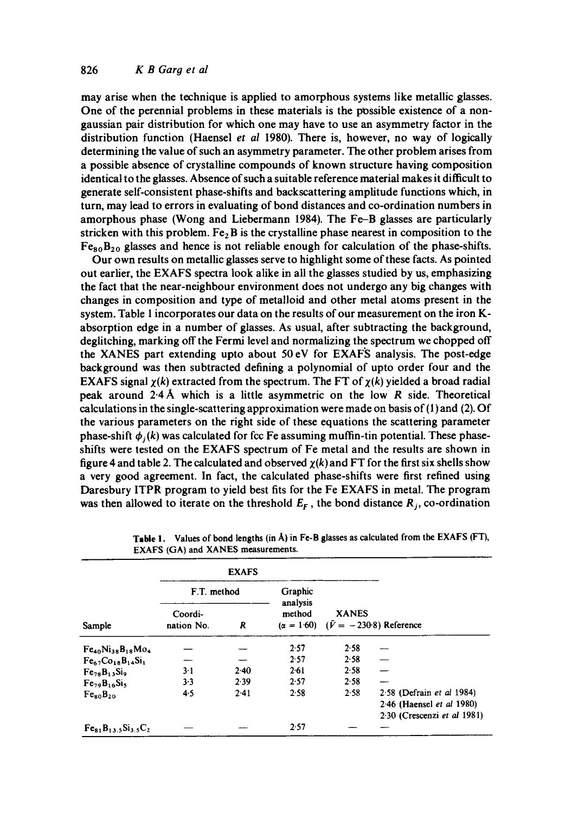may arise when the technique is applied to amorphous systems like metallic glasses. One of the perennial problems in these materials is the possible existence of a nongaussian pair distribution for which one may have to use an asymmetry factor in the distribution function (Haensel *et al* 1980). There is, however, no way of logically determining the value of such an asymmetry parameter. The other problem arises from a possible absence of crystalline compounds of known structure having composition identical to the glasses. Absence of such a suitable reference material makes it difficult to generate self-consistent phase-shifts and backscattering amplitude functions which, in turn, may lead to errors in evaluating of bond distances and co-ordination numbers in amorphous phase (Wong and Liebermann 1984). The Fe-B glasses are particularly stricken with this problem. Fe<sub>2</sub>B is the crystalline phase nearest in composition to the  $Fe_{80}B_{20}$  glasses and hence is not reliable enough for calculation of the phase-shifts.

Our own results on metallic glasses serve to highlight some of these facts. As pointed out earlier, the EXAFS spectra look alike in all the glasses studied by us, emphasizing the fact that the near-neighbour environment does not undergo any big changes with changes in composition and type of metalloid and other metal atoms present in the system. Table I incorporates our data on the results of our measurement on the iron Kabsorption edge in a number of glasses. As usual, after subtracting the background, deglitching, marking off the Fermi level and normalizing the spectrum we chopped off the XANES part extending upto about 50 eV for EXAF'S analysis. The post-edge background was then subtracted defining a polynomial of upto order four and the EXAFS signal  $\chi(k)$  extracted from the spectrum. The FT of  $\chi(k)$  yielded a broad radial peak around 2.4 A which is a little asymmetric on the low R side. Theoretical calculations in the single-scattering approximation were made on basis of (1) and (2). Of the various parameters on the right side of these equations the scattering parameter phase-shift  $\phi_i(k)$  was calculated for fcc Fe assuming muffin-tin potential. These phaseshifts were tested on the EXAFS spectrum of Fe metal and the results are shown in figure 4 and table 2. The calculated and observed  $\chi(k)$  and FT for the first six shells show a very good agreement. In fact, the calculated phase-shifts were first refined using Daresbury ITPR program to yield best fits for the Fe EXAFS in metal. The program was then allowed to iterate on the threshold  $E_F$ , the bond distance  $R_i$ , co-ordination

|                                  | <b>EXAFS</b>          |        |                    |                                                                  |                                                                                         |
|----------------------------------|-----------------------|--------|--------------------|------------------------------------------------------------------|-----------------------------------------------------------------------------------------|
| Sample                           | F.T. method           |        | Graphic            |                                                                  |                                                                                         |
|                                  | Coordi-<br>nation No. | R      | analysis<br>method | <b>XANES</b><br>$(\alpha = 1.60)$ $(\bar{V} = -230.8)$ Reference |                                                                                         |
| $Fe_{40}Ni_{38}B_{18}Mo_4$       |                       |        | 2.57               | 2.58                                                             |                                                                                         |
| $Fe67Co18B14Si1$                 |                       |        | 2.57               | 2.58                                                             |                                                                                         |
| $Fe78B13Si9$                     | $3-1$                 | $2-40$ | 2.61               | 2.58                                                             |                                                                                         |
| $Fe29B16Si5$                     | 3.3                   | 2.39   | 2.57               | 2.58                                                             |                                                                                         |
| Fe <sub>80</sub> B <sub>20</sub> | 4.5                   | 2.41   | 2.58               | 2.58                                                             | $2.58$ (Defrain et al 1984)<br>2.46 (Haensel et al 1980)<br>2.30 (Crescenzi et al 1981) |
| $Fe81$ , $Si3.5C2$               |                       |        | 2.57               |                                                                  |                                                                                         |

**Table** I. Values of bond lengths (in A) in Fe-B glasses as calculated from the EXAFS (FT), EXAFS (GA) and XANES measurements.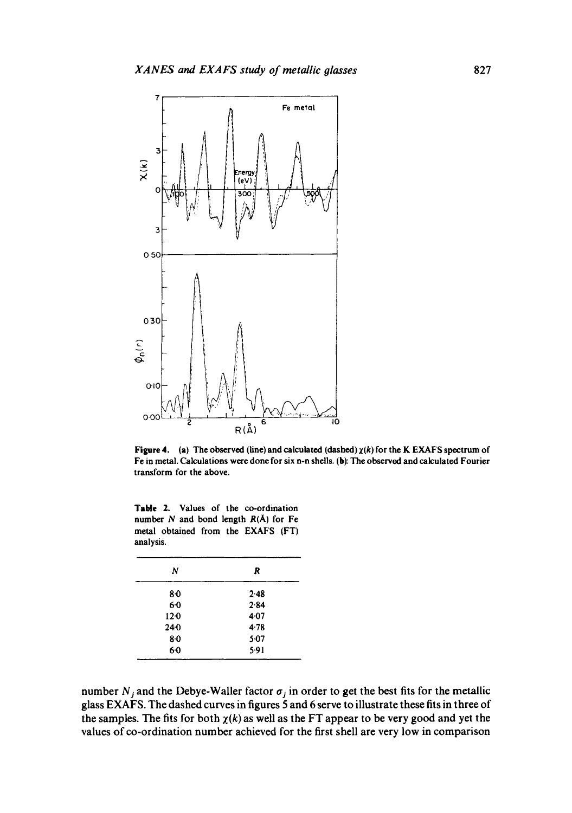

Figure 4. (a) The observed (line) and calculated (dashed)  $\chi(k)$  for the K EXAFS spectrum of Fe in metal. Calculations were done for six n-n shells. (b): The observed and calculated Fourier transform for the above.

Table 2. Values of the co-ordination number  $N$  and bond length  $R(A)$  for Fe metal obtained from the EXAFS (FT) analysis.

| N       | R      |
|---------|--------|
| 80      | $2-48$ |
| 60      | 284    |
| $12-0$  | $4-07$ |
| $24-0$  | 4.78   |
| $8 - 0$ | 5.07   |
| $6-0$   | 5.91   |

number  $N_j$  and the Debye-Waller factor  $\sigma_j$  in order to get the best fits for the metallic glass EXAFS. The dashed curves in figures 5 and 6 serve to illustrate these fits in three of the samples. The fits for both  $\chi(k)$  as well as the FT appear to be very good and yet the values of co-ordination number achieved for the first shell are very low in comparison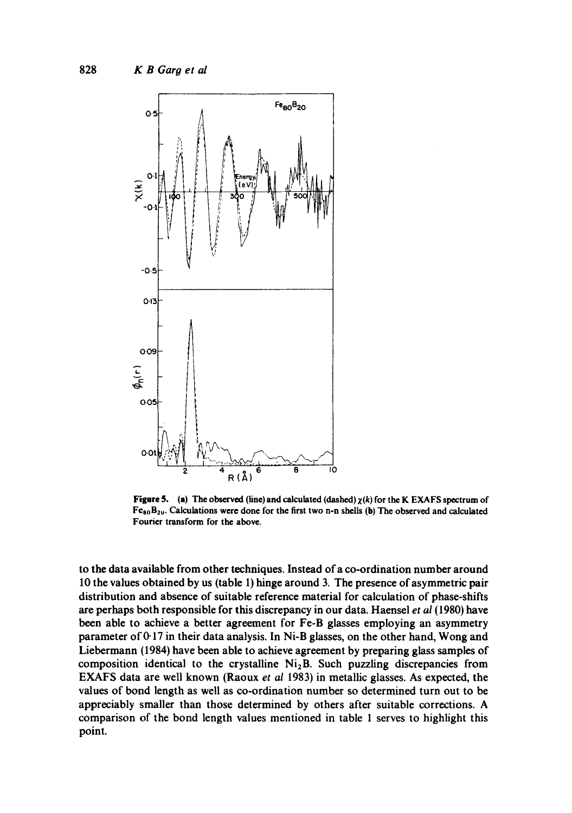

**Figure 5.** (a) The observed (line) and calculated (dashed)  $\chi(k)$  for the K EXAFS spectrum of  $Fe_{80}B_{20}$ . Calculations were done for the first two n-n shells (b) The observed and calculated Fourier transform for the above.

to the data available from other techniques. Instead of a co-ordination number around 10 the values obtained by us (table 1) hinge around 3. The presence of asymmetric pair distribution and absence of suitable reference material for calculation of phase-shifts are perhaps both responsible for this discrepancy in our data. Haensel *et al* (1980) have been able to achieve a better agreement for Fe-B glasses employing an asymmetry parameter of  $0.17$  in their data analysis. In Ni-B glasses, on the other hand, Wong and Liebermann (1984) have been able to achieve agreement by preparing glass samples of composition identical to the crystalline  $Ni<sub>2</sub>B$ . Such puzzling discrepancies from EXAFS data are well known (Raoux *et al* 1983) in metallic glasses. As expected, the values of bond length as well as co-ordination number so determined turn out to be appreciably smaller than those determined by others after suitable corrections. A comparison of the bond length values mentioned in table 1 serves to highlight this point.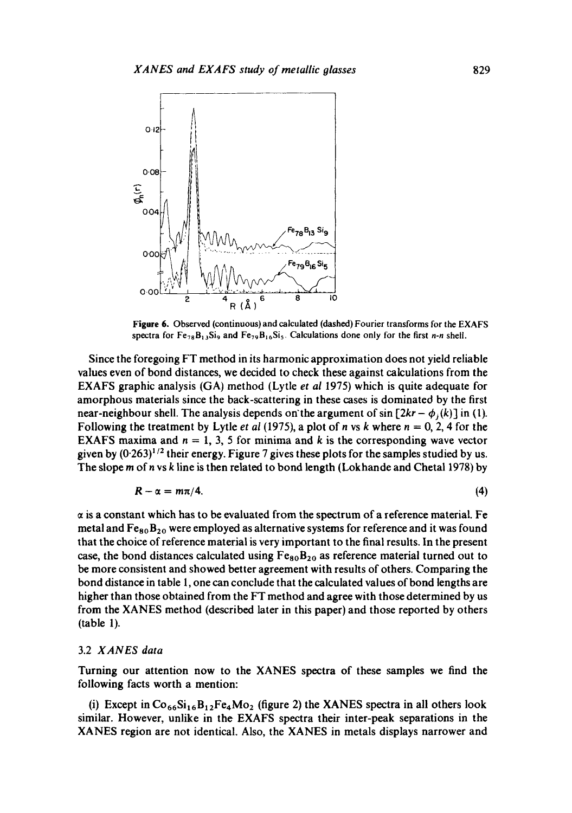

**Figure** 6. Observed (continuous) and calculated (dashed) Fourier transforms for the EXAFS spectra for  $Fe_{78}B_{13}Si_9$  and  $Fe_{79}B_{16}Si_5$ . Calculations done only for the first *n-n* shell.

Since the foregoing FT method in its harmonic approximation does not yield reliable values even of bond distances, we decided to check these against calculations from the EXAFS graphic analysis (GA) method (Lytle *et ai* 1975) which is quite adequate for amorphous materials since the back-scattering in these cases is dominated by the first near-neighbour shell. The analysis depends on the argument of  $sin [2kr - \phi_i(k)]$  in (1). Following the treatment by Lytle *et al* (1975), a plot of *n* vs *k* where  $n = 0, 2, 4$  for the EXAFS maxima and  $n = 1, 3, 5$  for minima and k is the corresponding wave vector given by  $(0.263)^{1/2}$  their energy. Figure 7 gives these plots for the samples studied by us. The slope m of n vs k line is then related to bond length (Lokhande and Chetal 1978) by

$$
R - \alpha = m\pi/4. \tag{4}
$$

 $\alpha$  is a constant which has to be evaluated from the spectrum of a reference material. Fe metal and  $Fe_{80}B_{20}$  were employed as alternative systems for reference and it was found that the choice of reference material is very important to the final results. In the present case, the bond distances calculated using  $Fe_{80}B_{20}$  as reference material turned out to be more consistent and showed better agreement with results of others. Comparing the bond distance in table 1, one can conclude that the calculated values of bond lengths are higher than those obtained from the FT method and agree with those determined by us from the XANES method (described later in this paper) and those reported by others (table 1).

#### 3.2 *XANES data*

Turning our attention now to the XANES spectra of these samples we find the following facts worth a mention:

(i) Except in  $Co_{66}Si_{16}B_{12}Fe_4Mo_2$  (figure 2) the XANES spectra in all others look similar. However, unlike in the EXAFS spectra their inter-peak separations in the XANES region are not identical. Also, the XANES in metals displays narrower and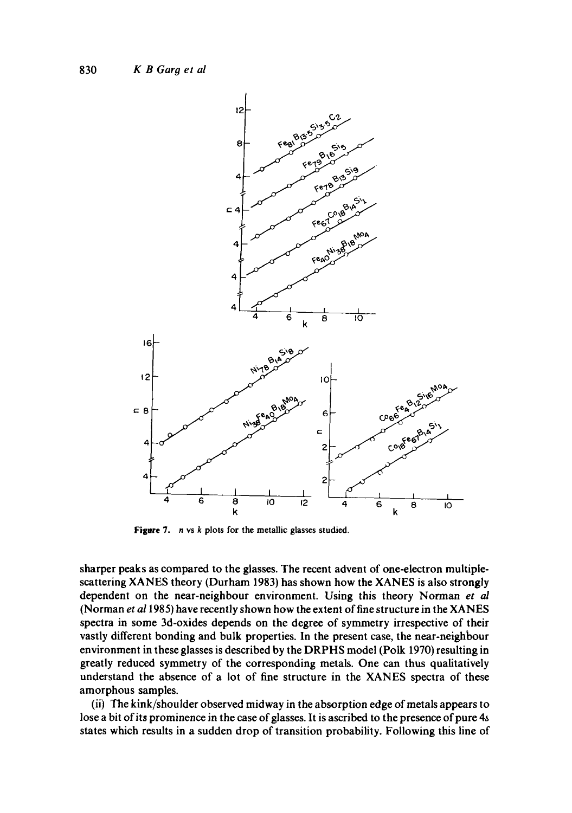

**Figure** 7. n vs k **plots for the metallic glasses studied.** 

**sharper peaks as compared to the glasses. The recent advent of one-electron multiplescattering XANES theory (Durham 1983) has shown how the XANES is also strongly dependent on the near-neighbour environment. Using this theory Norman** *et al*  **(Norman** *et a11985)* **have recently shown how the extent of fine structure in the XANES spectra in some 3d-oxides depends on the degree of symmetry irrespective of their vastly different bonding and bulk properties. In the present case, the near-neighbour environment in these glasses is described by the DRPHS model (Polk 1970) resulting in greatly reduced symmetry of the corresponding metals. One can thus qualitatively understand the absence of a lot of fine structure in the XANES spectra of these amorphous samples.** 

**(ii) The kink/shoulder observed midway in the absorption edge of metals appears to**  lose a bit of its prominence in the case of glasses. It is ascribed to the presence of pure 4s **states which results in a sudden drop of transition probability. Following this line of**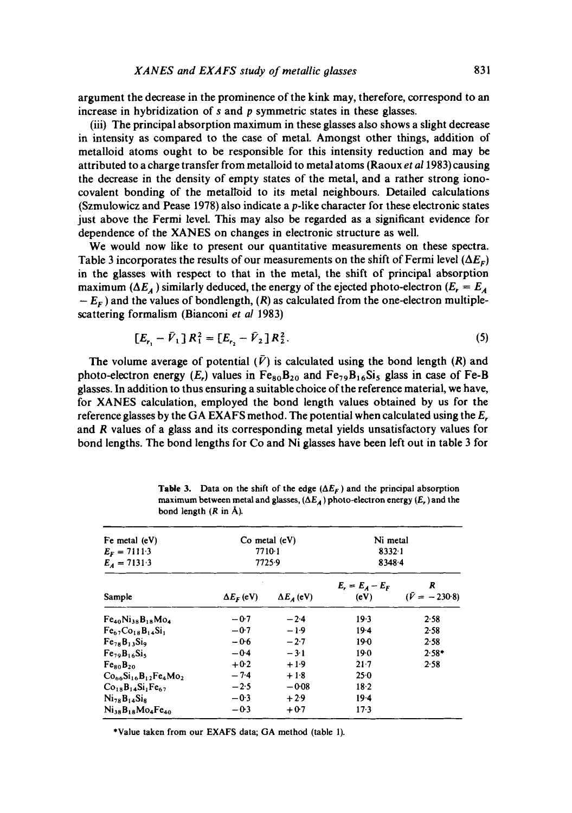argument the decrease in the prominence of the kink may, therefore, correspond to an increase in hybridization of s and p symmetric states in these glasses.

(iii) The principal absorption maximum in these glasses also shows a slight decrease in intensity as compared to the case of metal. Amongst other things, addition of metalloid atoms ought to be responsible for this intensity reduction and may be attributed to a charge transfer from metalloid to metal atoms (Raoux *et al* 1983) causing the decrease in the density of empty states of the metal, and a rather strong ionocovalent bonding of the metalloid to its metal neighbours. Detailed calculations (Szmulowicz and Pease 1978) also indicate a p-like character for these electronic states just above the Fermi level. This may also be regarded as a significant evidence for dependence of the XANES on changes in electronic structure as well.

We would now like to present our quantitative measurements on these spectra. Table 3 incorporates the results of our measurements on the shift of Fermi level  $(\Delta E_F)$ in the glasses with respect to that in the metal, the shift of principal absorption maximum ( $\Delta E_A$ ) similarly deduced, the energy of the ejected photo-electron ( $E_r = E_A$ )  $-E_F$ ) and the values of bondlength,  $(R)$  as calculated from the one-electron multiplescattering formalism (Bianconi *et al* 1983)

$$
[E_{r_1} - \bar{V}_1]R_1^2 = [E_{r_2} - \bar{V}_2]R_2^2. \tag{5}
$$

The volume average of potential  $(\bar{V})$  is calculated using the bond length  $(R)$  and photo-electron energy (E,) values in  $Fe_{80}B_{20}$  and  $Fe_{79}B_{16}Si_5$  glass in case of Fe-B glasses. In addition to thus ensuring a suitable choice of the reference material, we have, for XANES calculation, employed the bond length values obtained by us for the reference glasses by the GA EXAFS method. The potential when calculated using the  $E_r$ and R values of a glass and its corresponding metal yields unsatisfactory values for bond lengths. The bond lengths for Co and Ni glasses have been left out in table 3 for

| Fe metal $(eV)$<br>$E_F = 7111.3$<br>$E_4 = 7131.3$ |                         | $Co$ metal $(eV)$<br>7710-1<br>7725.9 | Ni metal<br>$8332 \cdot 1$<br>83484 |                           |  |
|-----------------------------------------------------|-------------------------|---------------------------------------|-------------------------------------|---------------------------|--|
| Sample                                              | $\Delta E_{\rm F}$ (eV) | $\Delta E_A$ (eV)                     | $E_r = E_A - E_F$<br>(eV)           | R<br>$(\bar{V} = -230.8)$ |  |
| $Fe_{40}Ni_{38}B_{18}Mo_4$                          | $-0.7$                  | $-2.4$                                | $19-3$                              | 2.58                      |  |
| $Fe67Co18B14Si1$                                    | $-0.7$                  | $-1.9$                                | $19-4$                              | 2.58                      |  |
| $Fe28 B13 Si9$                                      | $-0.6$                  | $-2.7$                                | 19.0                                | 2.58                      |  |
| Fe <sub>79</sub> B <sub>16</sub> Si                 | $-0.4$                  | $-3.1$                                | 19.0                                | $2.58*$                   |  |
| Fe <sub>80</sub> B <sub>20</sub>                    | $+0.2$                  | $+1.9$                                | $21 - 7$                            | 2.58                      |  |
| $Co_{66}Si_{16}B_{12}Fe_4Mo_2$                      | $-7.4$                  | $+1.8$                                | $25-0$                              |                           |  |
| $Co18B14Si1Fe67$                                    | $-2.5$                  | $-0.08$                               | $18-2$                              |                           |  |
| $Ni_{78}B_{14}Si_8$                                 | $-0.3$                  | $+29$                                 | $19-4$                              |                           |  |
| $N_{138}B_{18}Mo_4Fe_{40}$                          | $-03$                   | $+0.7$                                | $17-3$                              |                           |  |

**Table 3.** Data on the shift of the edge  $(\Delta E_F)$  and the principal absorption maximum between metal and glasses,  $(\Delta E_A)$  photo-electron energy  $(E_r)$  and the bond length  $(R \text{ in } A)$ .

\*Value taken from our EXAFS data; GA method (table 1).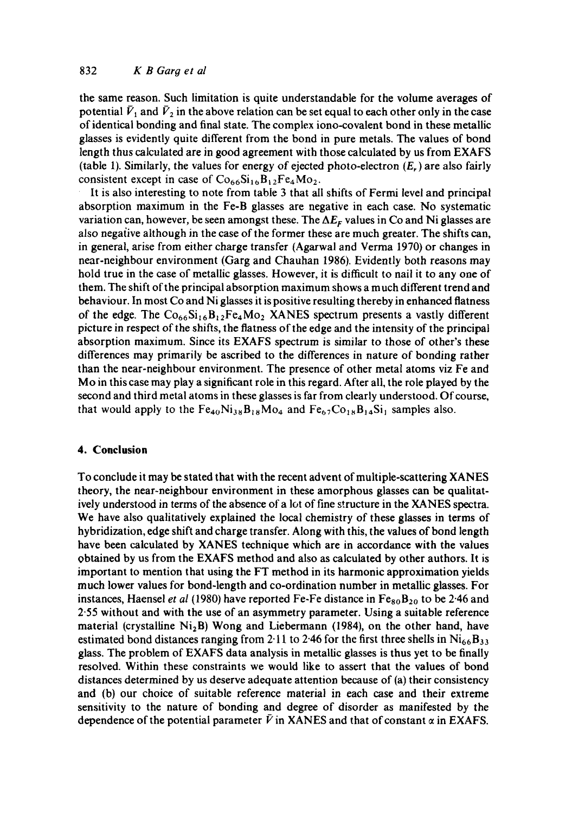## 832 *K B Garg et al*

the same reason. Such limitation is quite understandable for the volume averages of potential  $\bar{V}_1$  and  $\bar{V}_2$  in the above relation can be set equal to each other only in the case of identical bonding and final state. The complex iono-covalent bond in these metallic glasses is evidently quite different from the bond in pure metals. The values of bond length thus calculated are in good agreement with those calculated by us from EXAFS (table 1). Similarly, the values for energy of ejected photo-electron  $(E_r)$  are also fairly consistent except in case of  $Co_{66}Si_{16}B_{12}Fe_4Mo_2$ .

It is also interesting to note from table 3 that all shifts of Fermi level and principal absorption maximum in the Fe-B glasses are negative in each case. No systematic variation can, however, be seen amongst these. The  $\Delta E_F$  values in Co and Ni glasses are also negaiive although in the case of the former these are much greater. The shifts can, in general, arise from either charge transfer (Agarwal and Verma 1970) or changes in near-neighbour environment (Garg and Chauhan 1986). Evidently both reasons may hold true in the case of metallic glasses. However, it is difficult to nail it to any one of them. The shift of the principal absorption maximum shows a much different trend and behaviour. In most Co and Ni glasses it is positive resulting thereby in enhanced flatness of the edge. The  $Co_{66}Si_{16}B_{12}Fe_4Mo_2$  XANES spectrum presents a vastly different picture in respect of the shifts, the flatness of the edge and the intensity of the principal absorption maximum. Since its EXAFS spectrum is similar to those of other's these differences may primarily be ascribed to the differences in nature of bonding rather than the near-neighbour environment. The presence of other metal atoms viz Fe and Mo in this case may play a significant role in this regard. After all, the role played by the second and third metal atoms in these glasses is far from clearly understood. Of course, that would apply to the  $Fe_{40}Ni_{38}B_{18}Mo_4$  and  $Fe_{67}Co_{18}B_{14}Si_1$  samples also.

### **4. Conclusion**

To conclude it may be stated that with the recent advent of multiple-scattering XANES theory, the near-neighbour environment in these amorphous glasses can be qualitatively understood in terms of the absence of a lot of fine structure in the XANES spectra. We have also qualitatively explained the local chemistry of these glasses in terms of hybridization, edge shift and charge transfer. Along with this, the values of bond length have been calculated by XANES technique which are in accordance with the values obtained by us from the EXAFS method and also as calculated by other authors. It is important to mention that using the FT method in its harmonic approximation yields much lower values for bond-length and co-ordination number in metallic glasses. For instances, Haensel *et al* (1980) have reported Fe-Fe distance in  $Fe_{80}B_{20}$  to be 2.46 and 2.55 without and with the use of an asymmetry parameter. Using a suitable reference material (crystalline  $Ni<sub>2</sub>B$ ) Wong and Liebermann (1984), on the other hand, have estimated bond distances ranging from 2.11 to 2.46 for the first three shells in  $Ni_{66}B_{33}$ glass. The problem of EXAFS data analysis in metallic glasses is thus yet to be finally resolved. Within these constraints we would like to assert that the values of bond distances determined by us deserve adequate attention because of (a) their consistency and (b) our choice of suitable reference material in each case and their extreme sensitivity to the nature of bonding and degree of disorder as manifested by the dependence of the potential parameter  $\bar{V}$  in XANES and that of constant  $\alpha$  in EXAFS.